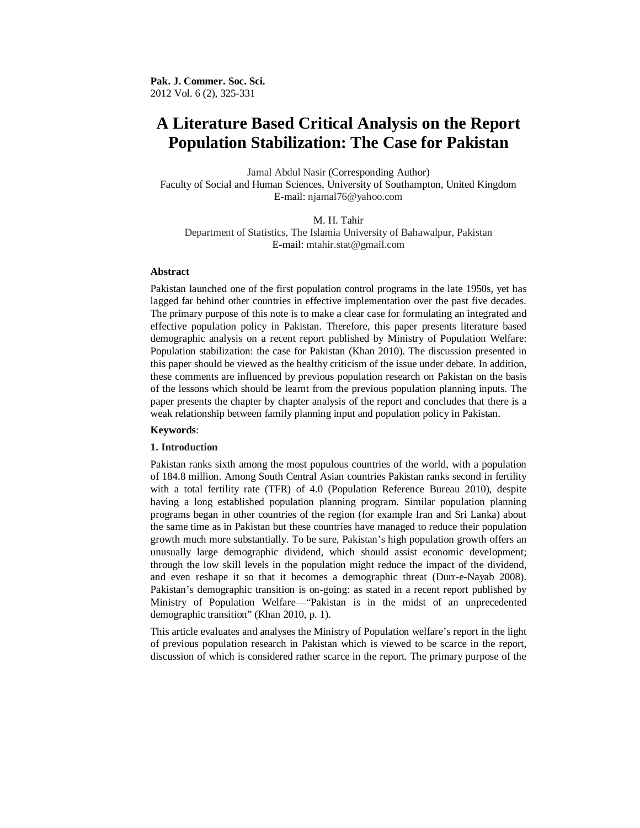# **A Literature Based Critical Analysis on the Report Population Stabilization: The Case for Pakistan**

Jamal Abdul Nasir (Corresponding Author) Faculty of Social and Human Sciences, University of Southampton, United Kingdom E-mail: njamal76@yahoo.com

M. H. Tahir Department of Statistics, The Islamia University of Bahawalpur, Pakistan E-mail: mtahir.stat@gmail.com

## **Abstract**

Pakistan launched one of the first population control programs in the late 1950s, yet has lagged far behind other countries in effective implementation over the past five decades. The primary purpose of this note is to make a clear case for formulating an integrated and effective population policy in Pakistan. Therefore, this paper presents literature based demographic analysis on a recent report published by Ministry of Population Welfare: Population stabilization: the case for Pakistan (Khan 2010). The discussion presented in this paper should be viewed as the healthy criticism of the issue under debate. In addition, these comments are influenced by previous population research on Pakistan on the basis of the lessons which should be learnt from the previous population planning inputs. The paper presents the chapter by chapter analysis of the report and concludes that there is a weak relationship between family planning input and population policy in Pakistan.

#### **Keywords**:

#### **1. Introduction**

Pakistan ranks sixth among the most populous countries of the world, with a population of 184.8 million. Among South Central Asian countries Pakistan ranks second in fertility with a total fertility rate (TFR) of 4.0 (Population Reference Bureau 2010), despite having a long established population planning program. Similar population planning programs began in other countries of the region (for example Iran and Sri Lanka) about the same time as in Pakistan but these countries have managed to reduce their population growth much more substantially. To be sure, Pakistan's high population growth offers an unusually large demographic dividend, which should assist economic development; through the low skill levels in the population might reduce the impact of the dividend, and even reshape it so that it becomes a demographic threat (Durr-e-Nayab 2008). Pakistan's demographic transition is on-going: as stated in a recent report published by Ministry of Population Welfare—"Pakistan is in the midst of an unprecedented demographic transition" (Khan 2010, p. 1).

This article evaluates and analyses the Ministry of Population welfare's report in the light of previous population research in Pakistan which is viewed to be scarce in the report, discussion of which is considered rather scarce in the report. The primary purpose of the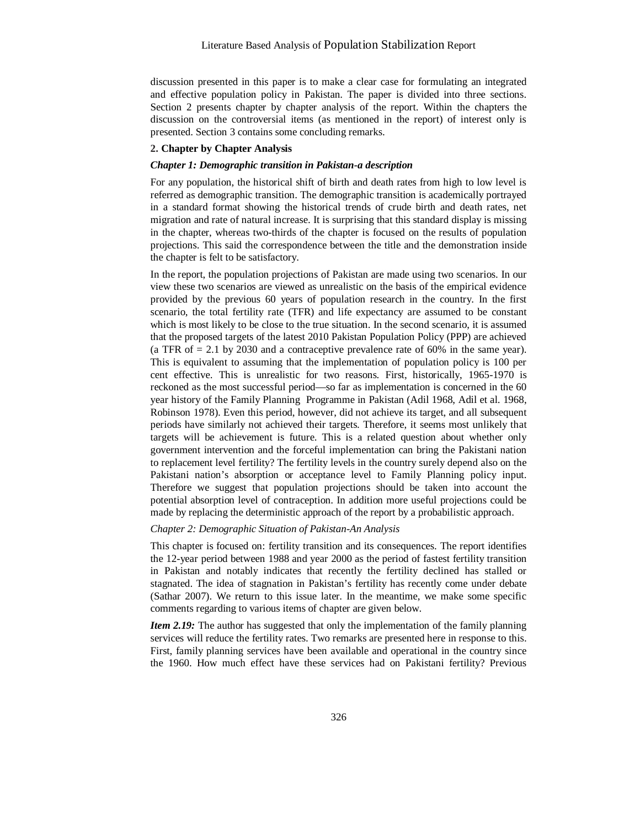discussion presented in this paper is to make a clear case for formulating an integrated and effective population policy in Pakistan. The paper is divided into three sections. Section 2 presents chapter by chapter analysis of the report. Within the chapters the discussion on the controversial items (as mentioned in the report) of interest only is presented. Section 3 contains some concluding remarks.

### **2. Chapter by Chapter Analysis**

#### *Chapter 1: Demographic transition in Pakistan-a description*

For any population, the historical shift of birth and death rates from high to low level is referred as demographic transition. The demographic transition is academically portrayed in a standard format showing the historical trends of crude birth and death rates, net migration and rate of natural increase. It is surprising that this standard display is missing in the chapter, whereas two-thirds of the chapter is focused on the results of population projections. This said the correspondence between the title and the demonstration inside the chapter is felt to be satisfactory.

In the report, the population projections of Pakistan are made using two scenarios. In our view these two scenarios are viewed as unrealistic on the basis of the empirical evidence provided by the previous 60 years of population research in the country. In the first scenario, the total fertility rate (TFR) and life expectancy are assumed to be constant which is most likely to be close to the true situation. In the second scenario, it is assumed that the proposed targets of the latest 2010 Pakistan Population Policy (PPP) are achieved (a TFR of = 2.1 by 2030 and a contraceptive prevalence rate of 60% in the same year). This is equivalent to assuming that the implementation of population policy is 100 per cent effective. This is unrealistic for two reasons. First, historically, 1965-1970 is reckoned as the most successful period—so far as implementation is concerned in the 60 year history of the Family Planning Programme in Pakistan (Adil 1968, Adil et al. 1968, Robinson 1978). Even this period, however, did not achieve its target, and all subsequent periods have similarly not achieved their targets. Therefore, it seems most unlikely that targets will be achievement is future. This is a related question about whether only government intervention and the forceful implementation can bring the Pakistani nation to replacement level fertility? The fertility levels in the country surely depend also on the Pakistani nation's absorption or acceptance level to Family Planning policy input. Therefore we suggest that population projections should be taken into account the potential absorption level of contraception. In addition more useful projections could be made by replacing the deterministic approach of the report by a probabilistic approach.

# *Chapter 2: Demographic Situation of Pakistan-An Analysis*

This chapter is focused on: fertility transition and its consequences. The report identifies the 12-year period between 1988 and year 2000 as the period of fastest fertility transition in Pakistan and notably indicates that recently the fertility declined has stalled or stagnated. The idea of stagnation in Pakistan's fertility has recently come under debate (Sathar 2007). We return to this issue later. In the meantime, we make some specific comments regarding to various items of chapter are given below.

*Item 2.19:* The author has suggested that only the implementation of the family planning services will reduce the fertility rates. Two remarks are presented here in response to this. First, family planning services have been available and operational in the country since the 1960. How much effect have these services had on Pakistani fertility? Previous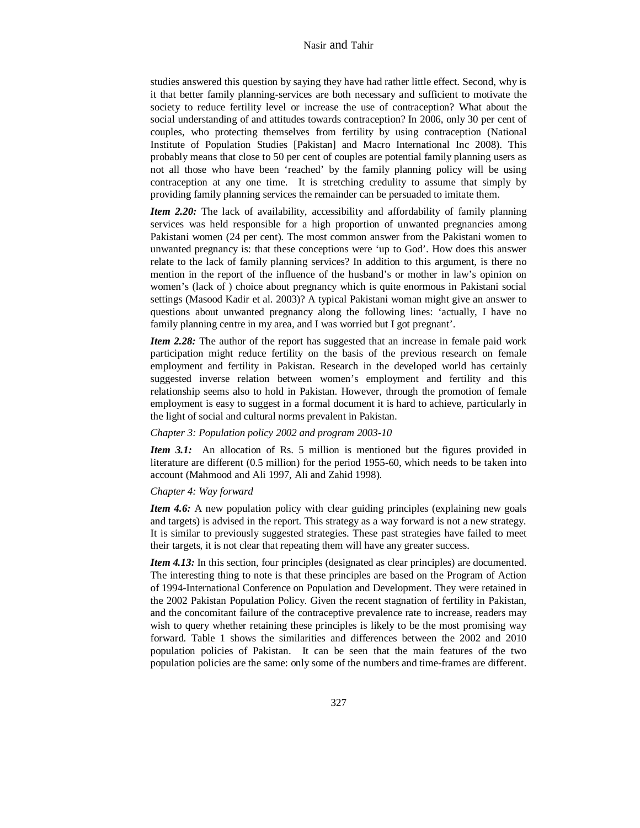studies answered this question by saying they have had rather little effect. Second, why is it that better family planning-services are both necessary and sufficient to motivate the society to reduce fertility level or increase the use of contraception? What about the social understanding of and attitudes towards contraception? In 2006, only 30 per cent of couples, who protecting themselves from fertility by using contraception (National Institute of Population Studies [Pakistan] and Macro International Inc 2008). This probably means that close to 50 per cent of couples are potential family planning users as not all those who have been 'reached' by the family planning policy will be using contraception at any one time. It is stretching credulity to assume that simply by providing family planning services the remainder can be persuaded to imitate them.

*Item 2.20:* The lack of availability, accessibility and affordability of family planning services was held responsible for a high proportion of unwanted pregnancies among Pakistani women (24 per cent). The most common answer from the Pakistani women to unwanted pregnancy is: that these conceptions were 'up to God'. How does this answer relate to the lack of family planning services? In addition to this argument, is there no mention in the report of the influence of the husband's or mother in law's opinion on women's (lack of ) choice about pregnancy which is quite enormous in Pakistani social settings (Masood Kadir et al. 2003)? A typical Pakistani woman might give an answer to questions about unwanted pregnancy along the following lines: 'actually, I have no family planning centre in my area, and I was worried but I got pregnant'.

*Item 2.28:* The author of the report has suggested that an increase in female paid work participation might reduce fertility on the basis of the previous research on female employment and fertility in Pakistan. Research in the developed world has certainly suggested inverse relation between women's employment and fertility and this relationship seems also to hold in Pakistan. However, through the promotion of female employment is easy to suggest in a formal document it is hard to achieve, particularly in the light of social and cultural norms prevalent in Pakistan.

#### *Chapter 3: Population policy 2002 and program 2003-10*

*Item 3.1:* An allocation of Rs. 5 million is mentioned but the figures provided in literature are different (0.5 million) for the period 1955-60, which needs to be taken into account (Mahmood and Ali 1997, Ali and Zahid 1998).

## *Chapter 4: Way forward*

*Item 4.6:* A new population policy with clear guiding principles (explaining new goals and targets) is advised in the report. This strategy as a way forward is not a new strategy. It is similar to previously suggested strategies. These past strategies have failed to meet their targets, it is not clear that repeating them will have any greater success.

*Item 4.13:* In this section, four principles (designated as clear principles) are documented. The interesting thing to note is that these principles are based on the Program of Action of 1994-International Conference on Population and Development. They were retained in the 2002 Pakistan Population Policy. Given the recent stagnation of fertility in Pakistan, and the concomitant failure of the contraceptive prevalence rate to increase, readers may wish to query whether retaining these principles is likely to be the most promising way forward. Table 1 shows the similarities and differences between the 2002 and 2010 population policies of Pakistan. It can be seen that the main features of the two population policies are the same: only some of the numbers and time-frames are different.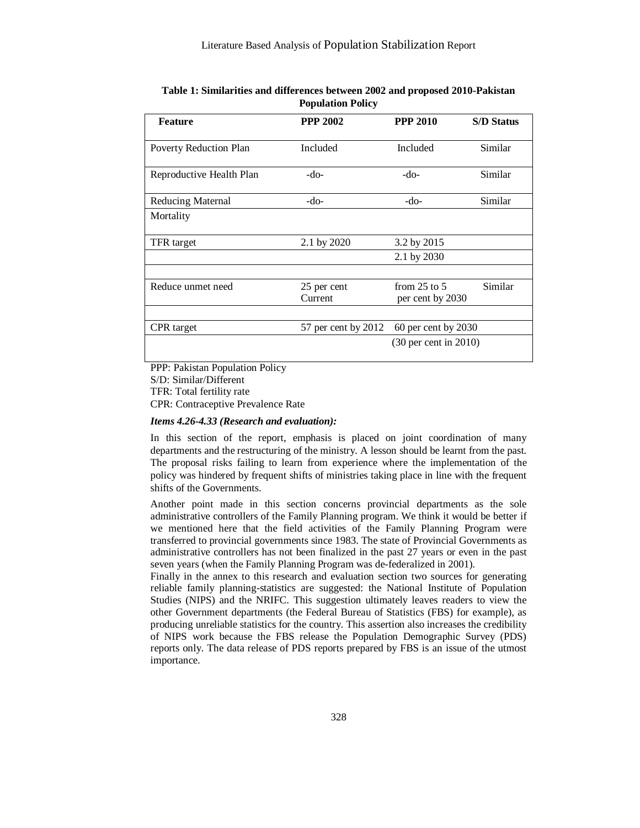| Table 1: Similarities and differences between 2002 and proposed 2010-Pakistan |  |  |  |
|-------------------------------------------------------------------------------|--|--|--|
| <b>Population Policy</b>                                                      |  |  |  |

| <b>Feature</b>           | <b>PPP 2002</b>        | <b>PPP 2010</b>                      | <b>S/D Status</b> |
|--------------------------|------------------------|--------------------------------------|-------------------|
| Poverty Reduction Plan   | Included               | Included                             | Similar           |
| Reproductive Health Plan | -do-                   | -do-                                 | Similar           |
| <b>Reducing Maternal</b> | -do-                   | -do-                                 | Similar           |
| Mortality                |                        |                                      |                   |
| TFR target               | 2.1 by 2020            | 3.2 by 2015                          |                   |
|                          |                        | 2.1 by 2030                          |                   |
|                          |                        |                                      |                   |
| Reduce unmet need        | 25 per cent<br>Current | from $25$ to $5$<br>per cent by 2030 | Similar           |
|                          |                        |                                      |                   |
| <b>CPR</b> target        | 57 per cent by 2012    | $60$ per cent by $2030$              |                   |
|                          |                        | $(30 \text{ per cent in } 2010)$     |                   |

PPP: Pakistan Population Policy

S/D: Similar/Different

TFR: Total fertility rate

CPR: Contraceptive Prevalence Rate

# *Items 4.26-4.33 (Research and evaluation):*

In this section of the report, emphasis is placed on joint coordination of many departments and the restructuring of the ministry. A lesson should be learnt from the past. The proposal risks failing to learn from experience where the implementation of the policy was hindered by frequent shifts of ministries taking place in line with the frequent shifts of the Governments.

Another point made in this section concerns provincial departments as the sole administrative controllers of the Family Planning program. We think it would be better if we mentioned here that the field activities of the Family Planning Program were transferred to provincial governments since 1983. The state of Provincial Governments as administrative controllers has not been finalized in the past 27 years or even in the past seven years (when the Family Planning Program was de-federalized in 2001).

Finally in the annex to this research and evaluation section two sources for generating reliable family planning-statistics are suggested: the National Institute of Population Studies (NIPS) and the NRIFC. This suggestion ultimately leaves readers to view the other Government departments (the Federal Bureau of Statistics (FBS) for example), as producing unreliable statistics for the country. This assertion also increases the credibility of NIPS work because the FBS release the Population Demographic Survey (PDS) reports only. The data release of PDS reports prepared by FBS is an issue of the utmost importance.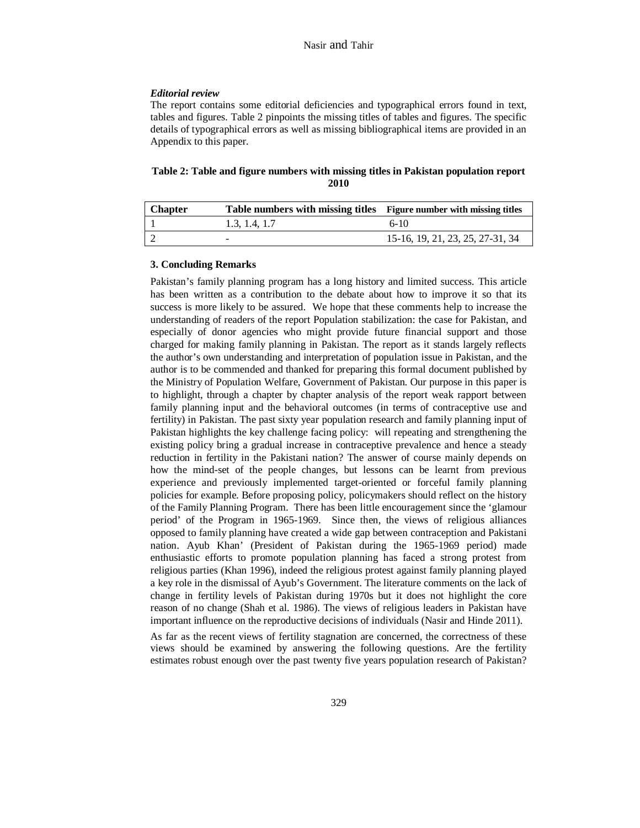## *Editorial review*

The report contains some editorial deficiencies and typographical errors found in text, tables and figures. Table 2 pinpoints the missing titles of tables and figures. The specific details of typographical errors as well as missing bibliographical items are provided in an Appendix to this paper.

# **Table 2: Table and figure numbers with missing titles in Pakistan population report 2010**

| <b>Chapter</b> | Table numbers with missing titles Figure number with missing titles |                                  |
|----------------|---------------------------------------------------------------------|----------------------------------|
|                | 1.3, 1.4, 1.7                                                       | $6-1()$                          |
|                |                                                                     | 15-16, 19, 21, 23, 25, 27-31, 34 |

# **3. Concluding Remarks**

Pakistan's family planning program has a long history and limited success. This article has been written as a contribution to the debate about how to improve it so that its success is more likely to be assured. We hope that these comments help to increase the understanding of readers of the report Population stabilization: the case for Pakistan, and especially of donor agencies who might provide future financial support and those charged for making family planning in Pakistan. The report as it stands largely reflects the author's own understanding and interpretation of population issue in Pakistan, and the author is to be commended and thanked for preparing this formal document published by the Ministry of Population Welfare, Government of Pakistan. Our purpose in this paper is to highlight, through a chapter by chapter analysis of the report weak rapport between family planning input and the behavioral outcomes (in terms of contraceptive use and fertility) in Pakistan. The past sixty year population research and family planning input of Pakistan highlights the key challenge facing policy: will repeating and strengthening the existing policy bring a gradual increase in contraceptive prevalence and hence a steady reduction in fertility in the Pakistani nation? The answer of course mainly depends on how the mind-set of the people changes, but lessons can be learnt from previous experience and previously implemented target-oriented or forceful family planning policies for example. Before proposing policy, policymakers should reflect on the history of the Family Planning Program. There has been little encouragement since the 'glamour period' of the Program in 1965-1969. Since then, the views of religious alliances opposed to family planning have created a wide gap between contraception and Pakistani nation. Ayub Khan' (President of Pakistan during the 1965-1969 period) made enthusiastic efforts to promote population planning has faced a strong protest from religious parties (Khan 1996), indeed the religious protest against family planning played a key role in the dismissal of Ayub's Government. The literature comments on the lack of change in fertility levels of Pakistan during 1970s but it does not highlight the core reason of no change (Shah et al. 1986). The views of religious leaders in Pakistan have important influence on the reproductive decisions of individuals (Nasir and Hinde 2011).

As far as the recent views of fertility stagnation are concerned, the correctness of these views should be examined by answering the following questions. Are the fertility estimates robust enough over the past twenty five years population research of Pakistan?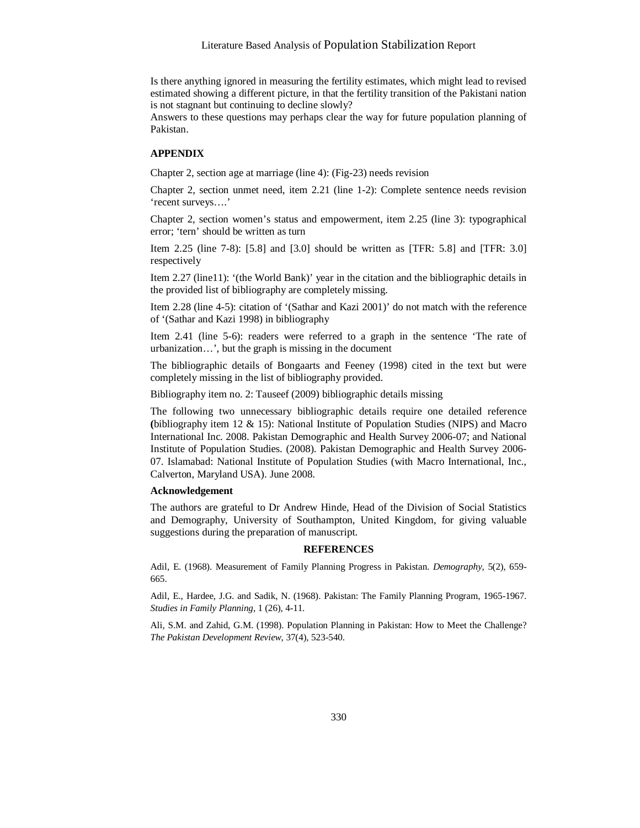Is there anything ignored in measuring the fertility estimates, which might lead to revised estimated showing a different picture, in that the fertility transition of the Pakistani nation is not stagnant but continuing to decline slowly?

Answers to these questions may perhaps clear the way for future population planning of Pakistan.

## **APPENDIX**

Chapter 2, section age at marriage (line 4): (Fig-23) needs revision

Chapter 2, section unmet need, item 2.21 (line 1-2): Complete sentence needs revision 'recent surveys….'

Chapter 2, section women's status and empowerment, item 2.25 (line 3): typographical error; 'tern' should be written as turn

Item 2.25 (line 7-8): [5.8] and [3.0] should be written as [TFR: 5.8] and [TFR: 3.0] respectively

Item 2.27 (line11): '(the World Bank)' year in the citation and the bibliographic details in the provided list of bibliography are completely missing.

Item 2.28 (line 4-5): citation of '(Sathar and Kazi 2001)' do not match with the reference of '(Sathar and Kazi 1998) in bibliography

Item 2.41 (line 5-6): readers were referred to a graph in the sentence 'The rate of urbanization…', but the graph is missing in the document

The bibliographic details of Bongaarts and Feeney (1998) cited in the text but were completely missing in the list of bibliography provided.

Bibliography item no. 2: Tauseef (2009) bibliographic details missing

The following two unnecessary bibliographic details require one detailed reference **(**bibliography item 12 & 15): National Institute of Population Studies (NIPS) and Macro International Inc. 2008. Pakistan Demographic and Health Survey 2006-07; and National Institute of Population Studies. (2008). Pakistan Demographic and Health Survey 2006- 07. Islamabad: National Institute of Population Studies (with Macro International, Inc., Calverton, Maryland USA). June 2008.

#### **Acknowledgement**

The authors are grateful to Dr Andrew Hinde, Head of the Division of Social Statistics and Demography, University of Southampton, United Kingdom, for giving valuable suggestions during the preparation of manuscript.

#### **REFERENCES**

Adil, E. (1968). Measurement of Family Planning Progress in Pakistan. *Demography*, 5(2), 659- 665.

Adil, E., Hardee, J.G. and Sadik, N. (1968). Pakistan: The Family Planning Program, 1965-1967. *Studies in Family Planning*, 1 (26), 4-11.

Ali, S.M. and Zahid, G.M. (1998). Population Planning in Pakistan: How to Meet the Challenge? *The Pakistan Development Review*, 37(4), 523-540.